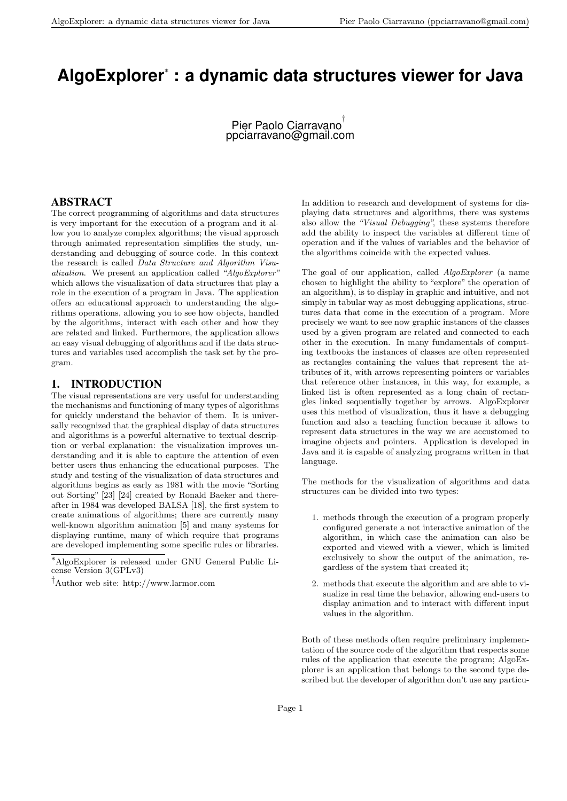# **AlgoExplorer***<sup>∗</sup>* **: a dynamic data structures viewer for Java**

Pier Paolo Ciarravano *†* ppciarravano@gmail.com

## ABSTRACT

The correct programming of algorithms and data structures is very important for the execution of a program and it allow you to analyze complex algorithms; the visual approach through animated representation simplifies the study, understanding and debugging of source code. In this context the research is called *Data Structure and Algorithm Visualization*. We present an application called *"AlgoExplorer"* which allows the visualization of data structures that play a role in the execution of a program in Java. The application offers an educational approach to understanding the algorithms operations, allowing you to see how objects, handled by the algorithms, interact with each other and how they are related and linked. Furthermore, the application allows an easy visual debugging of algorithms and if the data structures and variables used accomplish the task set by the program.

## 1. INTRODUCTION

The visual representations are very useful for understanding the mechanisms and functioning of many types of algorithms for quickly understand the behavior of them. It is universally recognized that the graphical display of data structures and algorithms is a powerful alternative to textual description or verbal explanation: the visualization improves understanding and it is able to capture the attention of even better users thus enhancing the educational purposes. The study and testing of the visualization of data structures and algorithms begins as early as 1981 with the movie "Sorting out Sorting" [23] [24] created by Ronald Baeker and thereafter in 1984 was developed BALSA [18], the first system to create animations of algorithms; there are currently many well-known algorithm animation [5] and many systems for displaying runtime, many of which require that programs are developed implementing some specific rules or libraries.

In addition to research and development of systems for displaying data structures and algorithms, there was systems also allow the *"Visual Debugging"*, these systems therefore add the ability to inspect the variables at different time of operation and if the values of variables and the behavior of the algorithms coincide with the expected values.

The goal of our application, called *AlgoExplorer* (a name chosen to highlight the ability to "explore" the operation of an algorithm), is to display in graphic and intuitive, and not simply in tabular way as most debugging applications, structures data that come in the execution of a program. More precisely we want to see now graphic instances of the classes used by a given program are related and connected to each other in the execution. In many fundamentals of computing textbooks the instances of classes are often represented as rectangles containing the values that represent the attributes of it, with arrows representing pointers or variables that reference other instances, in this way, for example, a linked list is often represented as a long chain of rectangles linked sequentially together by arrows. AlgoExplorer uses this method of visualization, thus it have a debugging function and also a teaching function because it allows to represent data structures in the way we are accustomed to imagine objects and pointers. Application is developed in Java and it is capable of analyzing programs written in that language.

The methods for the visualization of algorithms and data structures can be divided into two types:

- 1. methods through the execution of a program properly configured generate a not interactive animation of the algorithm, in which case the animation can also be exported and viewed with a viewer, which is limited exclusively to show the output of the animation, regardless of the system that created it;
- 2. methods that execute the algorithm and are able to visualize in real time the behavior, allowing end-users to display animation and to interact with different input values in the algorithm.

Both of these methods often require preliminary implementation of the source code of the algorithm that respects some rules of the application that execute the program; AlgoExplorer is an application that belongs to the second type described but the developer of algorithm don't use any particu-

*<sup>∗</sup>*AlgoExplorer is released under GNU General Public License Version 3(GPLv3)

*<sup>†</sup>*Author web site: http://www.larmor.com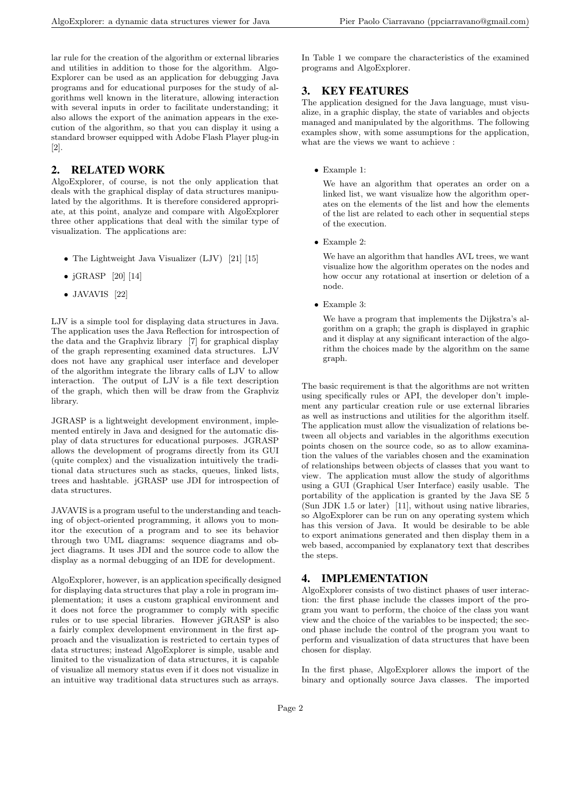lar rule for the creation of the algorithm or external libraries and utilities in addition to those for the algorithm. Algo-Explorer can be used as an application for debugging Java programs and for educational purposes for the study of algorithms well known in the literature, allowing interaction with several inputs in order to facilitate understanding; it also allows the export of the animation appears in the execution of the algorithm, so that you can display it using a standard browser equipped with Adobe Flash Player plug-in [2].

## 2. RELATED WORK

AlgoExplorer, of course, is not the only application that deals with the graphical display of data structures manipulated by the algorithms. It is therefore considered appropriate, at this point, analyze and compare with AlgoExplorer three other applications that deal with the similar type of visualization. The applications are:

- The Lightweight Java Visualizer (LJV) [21] [15]
- *•* jGRASP [20] [14]
- *•* JAVAVIS [22]

LJV is a simple tool for displaying data structures in Java. The application uses the Java Reflection for introspection of the data and the Graphviz library [7] for graphical display of the graph representing examined data structures. LJV does not have any graphical user interface and developer of the algorithm integrate the library calls of LJV to allow interaction. The output of LJV is a file text description of the graph, which then will be draw from the Graphviz library.

JGRASP is a lightweight development environment, implemented entirely in Java and designed for the automatic display of data structures for educational purposes. JGRASP allows the development of programs directly from its GUI (quite complex) and the visualization intuitively the traditional data structures such as stacks, queues, linked lists, trees and hashtable. jGRASP use JDI for introspection of data structures.

JAVAVIS is a program useful to the understanding and teaching of object-oriented programming, it allows you to monitor the execution of a program and to see its behavior through two UML diagrams: sequence diagrams and object diagrams. It uses JDI and the source code to allow the display as a normal debugging of an IDE for development.

AlgoExplorer, however, is an application specifically designed for displaying data structures that play a role in program implementation; it uses a custom graphical environment and it does not force the programmer to comply with specific rules or to use special libraries. However jGRASP is also a fairly complex development environment in the first approach and the visualization is restricted to certain types of data structures; instead AlgoExplorer is simple, usable and limited to the visualization of data structures, it is capable of visualize all memory status even if it does not visualize in an intuitive way traditional data structures such as arrays.

In Table 1 we compare the characteristics of the examined programs and AlgoExplorer.

# 3. KEY FEATURES

The application designed for the Java language, must visualize, in a graphic display, the state of variables and objects managed and manipulated by the algorithms. The following examples show, with some assumptions for the application, what are the views we want to achieve :

*•* Example 1:

We have an algorithm that operates an order on a linked list, we want visualize how the algorithm operates on the elements of the list and how the elements of the list are related to each other in sequential steps of the execution.

*•* Example 2:

We have an algorithm that handles AVL trees, we want visualize how the algorithm operates on the nodes and how occur any rotational at insertion or deletion of a node.

*•* Example 3:

We have a program that implements the Dijkstra's algorithm on a graph; the graph is displayed in graphic and it display at any significant interaction of the algorithm the choices made by the algorithm on the same graph.

The basic requirement is that the algorithms are not written using specifically rules or API, the developer don't implement any particular creation rule or use external libraries as well as instructions and utilities for the algorithm itself. The application must allow the visualization of relations between all objects and variables in the algorithms execution points chosen on the source code, so as to allow examination the values of the variables chosen and the examination of relationships between objects of classes that you want to view. The application must allow the study of algorithms using a GUI (Graphical User Interface) easily usable. The portability of the application is granted by the Java SE 5 (Sun JDK 1.5 or later) [11], without using native libraries, so AlgoExplorer can be run on any operating system which has this version of Java. It would be desirable to be able to export animations generated and then display them in a web based, accompanied by explanatory text that describes the steps.

## 4. IMPLEMENTATION

AlgoExplorer consists of two distinct phases of user interaction: the first phase include the classes import of the program you want to perform, the choice of the class you want view and the choice of the variables to be inspected; the second phase include the control of the program you want to perform and visualization of data structures that have been chosen for display.

In the first phase, AlgoExplorer allows the import of the binary and optionally source Java classes. The imported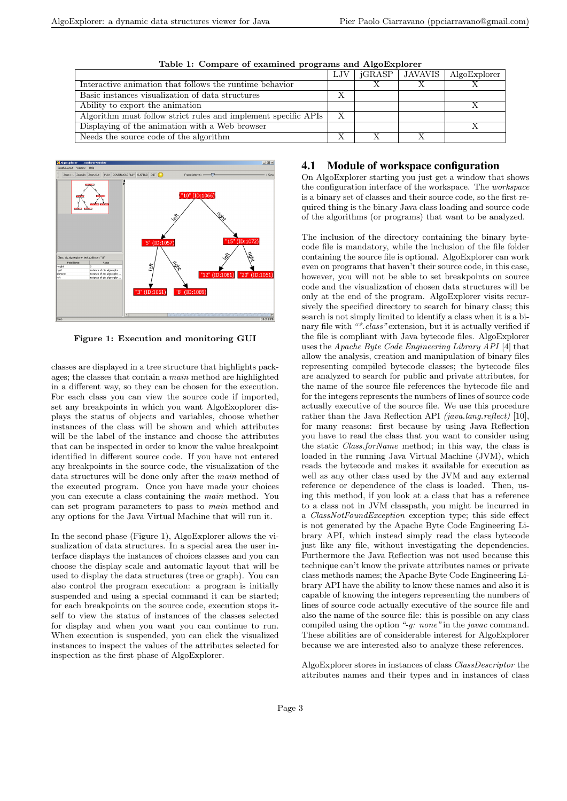|                                                                | LJV            | iGRASP   JAVAVIS | $\mid$ AlgoExplorer |
|----------------------------------------------------------------|----------------|------------------|---------------------|
| Interactive animation that follows the runtime behavior        |                |                  |                     |
| Basic instances visualization of data structures               | v<br>$\lambda$ |                  |                     |
| Ability to export the animation                                |                |                  |                     |
| Algorithm must follow strict rules and implement specific APIs | Х              |                  |                     |
| Displaying of the animation with a Web browser                 |                |                  |                     |
| Needs the source code of the algorithm                         |                |                  |                     |

**Table 1: Compare of examined programs and AlgoExplorer**



**Figure 1: Execution and monitoring GUI**

classes are displayed in a tree structure that highlights packages; the classes that contain a *main* method are highlighted in a different way, so they can be chosen for the execution. For each class you can view the source code if imported, set any breakpoints in which you want AlgoExoplorer displays the status of objects and variables, choose whether instances of the class will be shown and which attributes will be the label of the instance and choose the attributes that can be inspected in order to know the value breakpoint identified in different source code. If you have not entered any breakpoints in the source code, the visualization of the data structures will be done only after the *main* method of the executed program. Once you have made your choices you can execute a class containing the *main* method. You can set program parameters to pass to *main* method and any options for the Java Virtual Machine that will run it.

In the second phase (Figure 1), AlgoExplorer allows the visualization of data structures. In a special area the user interface displays the instances of choices classes and you can choose the display scale and automatic layout that will be used to display the data structures (tree or graph). You can also control the program execution: a program is initially suspended and using a special command it can be started; for each breakpoints on the source code, execution stops itself to view the status of instances of the classes selected for display and when you want you can continue to run. When execution is suspended, you can click the visualized instances to inspect the values of the attributes selected for inspection as the first phase of AlgoExplorer.

## 4.1 Module of workspace configuration

On AlgoExplorer starting you just get a window that shows the configuration interface of the workspace. The *workspace* is a binary set of classes and their source code, so the first required thing is the binary Java class loading and source code of the algorithms (or programs) that want to be analyzed.

The inclusion of the directory containing the binary bytecode file is mandatory, while the inclusion of the file folder containing the source file is optional. AlgoExplorer can work even on programs that haven't their source code, in this case, however, you will not be able to set breakpoints on source code and the visualization of chosen data structures will be only at the end of the program. AlgoExplorer visits recursively the specified directory to search for binary class; this search is not simply limited to identify a class when it is a binary file with *"\*.class"* extension, but it is actually verified if the file is compliant with Java bytecode files. AlgoExplorer uses the *Apache Byte Code Engineering Library API* [4] that allow the analysis, creation and manipulation of binary files representing compiled bytecode classes; the bytecode files are analyzed to search for public and private attributes, for the name of the source file references the bytecode file and for the integers represents the numbers of lines of source code actually executive of the source file. We use this procedure rather than the Java Reflection API *(java.lang.reflect)* [10], for many reasons: first because by using Java Reflection you have to read the class that you want to consider using the static *Class.forName* method; in this way, the class is loaded in the running Java Virtual Machine (JVM), which reads the bytecode and makes it available for execution as well as any other class used by the JVM and any external reference or dependence of the class is loaded. Then, using this method, if you look at a class that has a reference to a class not in JVM classpath, you might be incurred in a *ClassNotFoundException* exception type; this side effect is not generated by the Apache Byte Code Engineering Library API, which instead simply read the class bytecode just like any file, without investigating the dependencies. Furthermore the Java Reflection was not used because this technique can't know the private attributes names or private class methods names; the Apache Byte Code Engineering Library API have the ability to know these names and also it is capable of knowing the integers representing the numbers of lines of source code actually executive of the source file and also the name of the source file: this is possible on any class compiled using the option *"-g: none"* in the *javac* command. These abilities are of considerable interest for AlgoExplorer because we are interested also to analyze these references.

AlgoExplorer stores in instances of class *ClassDescriptor* the attributes names and their types and in instances of class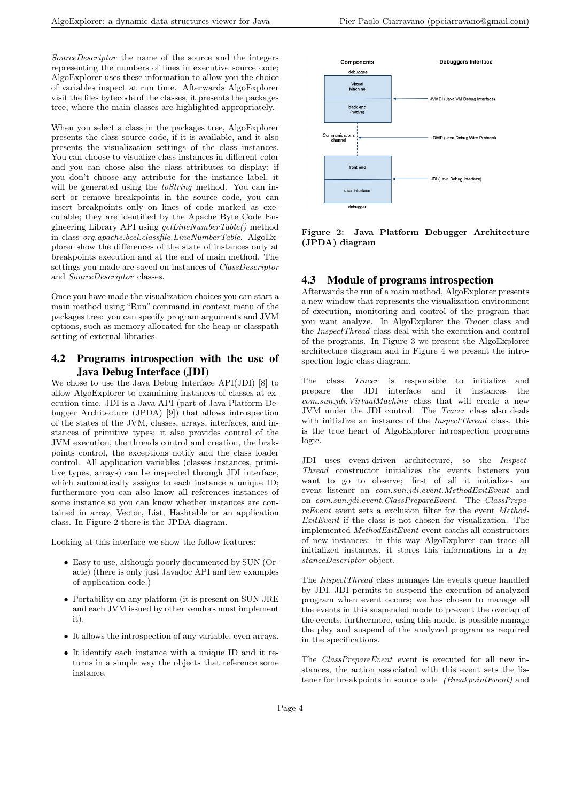*SourceDescriptor* the name of the source and the integers representing the numbers of lines in executive source code; AlgoExplorer uses these information to allow you the choice of variables inspect at run time. Afterwards AlgoExplorer visit the files bytecode of the classes, it presents the packages tree, where the main classes are highlighted appropriately.

When you select a class in the packages tree, AlgoExplorer presents the class source code, if it is available, and it also presents the visualization settings of the class instances. You can choose to visualize class instances in different color and you can chose also the class attributes to display; if you don't choose any attribute for the instance label, it will be generated using the *toString* method. You can insert or remove breakpoints in the source code, you can insert breakpoints only on lines of code marked as executable; they are identified by the Apache Byte Code Engineering Library API using *getLineNumberTable()* method in class *org.apache.bcel.classfile.LineNumberTable*. AlgoExplorer show the differences of the state of instances only at breakpoints execution and at the end of main method. The settings you made are saved on instances of *ClassDescriptor* and *SourceDescriptor* classes.

Once you have made the visualization choices you can start a main method using "Run" command in context menu of the packages tree: you can specify program arguments and JVM options, such as memory allocated for the heap or classpath setting of external libraries.

## 4.2 Programs introspection with the use of Java Debug Interface (JDI)

We chose to use the Java Debug Interface API(JDI) [8] to allow AlgoExplorer to examining instances of classes at execution time. JDI is a Java API (part of Java Platform Debugger Architecture (JPDA) [9]) that allows introspection of the states of the JVM, classes, arrays, interfaces, and instances of primitive types; it also provides control of the JVM execution, the threads control and creation, the brakpoints control, the exceptions notify and the class loader control. All application variables (classes instances, primitive types, arrays) can be inspected through JDI interface, which automatically assigns to each instance a unique ID; furthermore you can also know all references instances of some instance so you can know whether instances are contained in array, Vector, List, Hashtable or an application class. In Figure 2 there is the JPDA diagram.

Looking at this interface we show the follow features:

- *•* Easy to use, although poorly documented by SUN (Oracle) (there is only just Javadoc API and few examples of application code.)
- *•* Portability on any platform (it is present on SUN JRE and each JVM issued by other vendors must implement it).
- *•* It allows the introspection of any variable, even arrays.
- *•* It identify each instance with a unique ID and it returns in a simple way the objects that reference some instance.



**Figure 2: Java Platform Debugger Architecture (JPDA) diagram**

#### 4.3 Module of programs introspection

Afterwards the run of a main method, AlgoExplorer presents a new window that represents the visualization environment of execution, monitoring and control of the program that you want analyze. In AlgoExplorer the *Tracer* class and the *InspectThread* class deal with the execution and control of the programs. In Figure 3 we present the AlgoExplorer architecture diagram and in Figure 4 we present the introspection logic class diagram.

The class *Tracer* is responsible to initialize and prepare the JDI interface and it instances the *com.sun.jdi.VirtualMachine* class that will create a new JVM under the JDI control. The *Tracer* class also deals with initialize an instance of the *InspectThread* class, this is the true heart of AlgoExplorer introspection programs logic.

JDI uses event-driven architecture, so the *Inspect-Thread* constructor initializes the events listeners you want to go to observe; first of all it initializes an event listener on *com.sun.jdi.event.MethodExitEvent* and on *com.sun.jdi.event.ClassPrepareEvent*. The *ClassPrepareEvent* event sets a exclusion filter for the event *Method-ExitEvent* if the class is not chosen for visualization. The implemented *MethodExitEvent* event catchs all constructors of new instances: in this way AlgoExplorer can trace all initialized instances, it stores this informations in a *InstanceDescriptor* object.

The *InspectThread* class manages the events queue handled by JDI. JDI permits to suspend the execution of analyzed program when event occurs; we has chosen to manage all the events in this suspended mode to prevent the overlap of the events, furthermore, using this mode, is possible manage the play and suspend of the analyzed program as required in the specifications.

The *ClassPrepareEvent* event is executed for all new instances, the action associated with this event sets the listener for breakpoints in source code *(BreakpointEvent)* and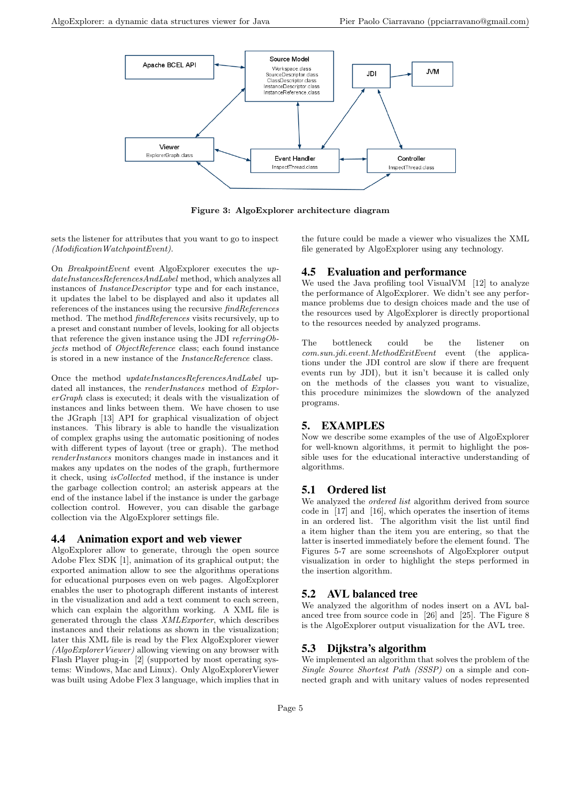

**Figure 3: AlgoExplorer architecture diagram**

sets the listener for attributes that you want to go to inspect *(ModificationWatchpointEvent)*.

On *BreakpointEvent* event AlgoExplorer executes the *updateInstancesReferencesAndLabel* method, which analyzes all instances of *InstanceDescriptor* type and for each instance, it updates the label to be displayed and also it updates all references of the instances using the recursive *findReferences* method. The method *findReferences* visits recursively, up to a preset and constant number of levels, looking for all objects that reference the given instance using the JDI *referringObjects* method of *ObjectReference* class; each found instance is stored in a new instance of the *InstanceReference* class.

Once the method *updateInstancesReferencesAndLabel* updated all instances, the *renderInstances* method of *ExplorerGraph* class is executed; it deals with the visualization of instances and links between them. We have chosen to use the JGraph [13] API for graphical visualization of object instances. This library is able to handle the visualization of complex graphs using the automatic positioning of nodes with different types of layout (tree or graph). The method *renderInstances* monitors changes made in instances and it makes any updates on the nodes of the graph, furthermore it check, using *isCollected* method, if the instance is under the garbage collection control; an asterisk appears at the end of the instance label if the instance is under the garbage collection control. However, you can disable the garbage collection via the AlgoExplorer settings file.

#### 4.4 Animation export and web viewer

AlgoExplorer allow to generate, through the open source Adobe Flex SDK [1], animation of its graphical output; the exported animation allow to see the algorithms operations for educational purposes even on web pages. AlgoExplorer enables the user to photograph different instants of interest in the visualization and add a text comment to each screen, which can explain the algorithm working. A XML file is generated through the class *XMLExporter*, which describes instances and their relations as shown in the visualization; later this XML file is read by the Flex AlgoExplorer viewer *(AlgoExplorerViewer)* allowing viewing on any browser with Flash Player plug-in [2] (supported by most operating systems: Windows, Mac and Linux). Only AlgoExplorerViewer was built using Adobe Flex 3 language, which implies that in

the future could be made a viewer who visualizes the XML file generated by AlgoExplorer using any technology.

## 4.5 Evaluation and performance

We used the Java profiling tool VisualVM [12] to analyze the performance of AlgoExplorer. We didn't see any performance problems due to design choices made and the use of the resources used by AlgoExplorer is directly proportional to the resources needed by analyzed programs.

The bottleneck could be the listener on *com.sun.jdi.event.MethodExitEvent* event (the applications under the JDI control are slow if there are frequent events run by JDI), but it isn't because it is called only on the methods of the classes you want to visualize, this procedure minimizes the slowdown of the analyzed programs.

## 5. EXAMPLES

Now we describe some examples of the use of AlgoExplorer for well-known algorithms, it permit to highlight the possible uses for the educational interactive understanding of algorithms.

#### 5.1 Ordered list

We analyzed the *ordered list* algorithm derived from source code in [17] and [16], which operates the insertion of items in an ordered list. The algorithm visit the list until find a item higher than the item you are entering, so that the latter is inserted immediately before the element found. The Figures 5-7 are some screenshots of AlgoExplorer output visualization in order to highlight the steps performed in the insertion algorithm.

## 5.2 AVL balanced tree

We analyzed the algorithm of nodes insert on a AVL balanced tree from source code in [26] and [25]. The Figure 8 is the AlgoExplorer output visualization for the AVL tree.

## 5.3 Dijkstra's algorithm

We implemented an algorithm that solves the problem of the *Single Source Shortest Path (SSSP)* on a simple and connected graph and with unitary values of nodes represented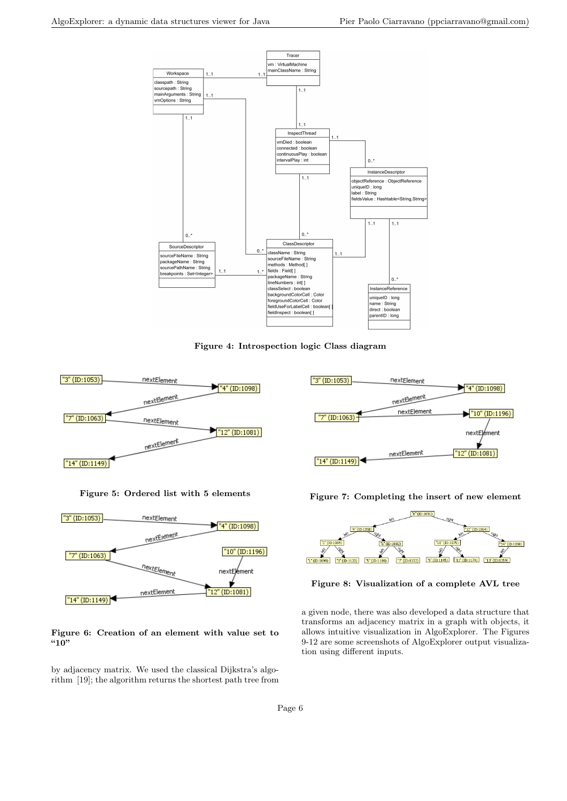

**Figure 4: Introspection logic Class diagram**



**Figure 5: Ordered list with 5 elements**



**Figure 6: Creation of an element with value set to "10"**

by adjacency matrix. We used the classical Dijkstra's algorithm [19]; the algorithm returns the shortest path tree from



**Figure 7: Completing the insert of new element**



**Figure 8: Visualization of a complete AVL tree**

a given node, there was also developed a data structure that transforms an adjacency matrix in a graph with objects, it allows intuitive visualization in AlgoExplorer. The Figures 9-12 are some screenshots of AlgoExplorer output visualization using different inputs.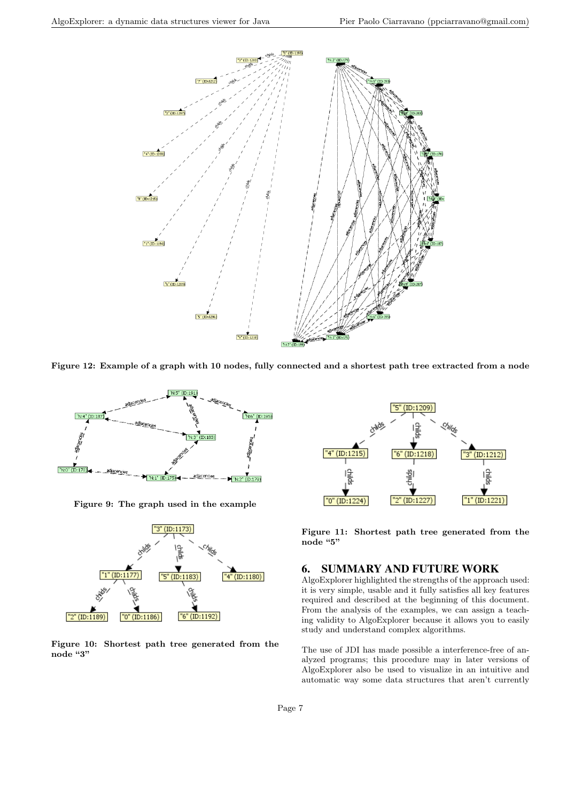

**Figure 12: Example of a graph with 10 nodes, fully connected and a shortest path tree extracted from a node**



**Figure 9: The graph used in the example**



**Figure 10: Shortest path tree generated from the node "3"**



**Figure 11: Shortest path tree generated from the node "5"**

### 6. SUMMARY AND FUTURE WORK

AlgoExplorer highlighted the strengths of the approach used: it is very simple, usable and it fully satisfies all key features required and described at the beginning of this document. From the analysis of the examples, we can assign a teaching validity to AlgoExplorer because it allows you to easily study and understand complex algorithms.

The use of JDI has made possible a interference-free of analyzed programs; this procedure may in later versions of AlgoExplorer also be used to visualize in an intuitive and automatic way some data structures that aren't currently